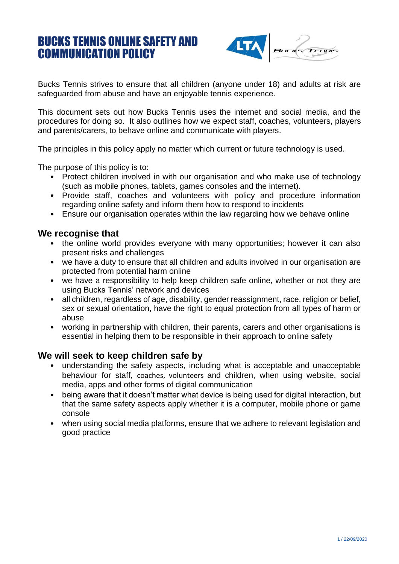# BUCKS TENNIS ONLINE SAFETY AND COMMUNICATION POLICY



Bucks Tennis strives to ensure that all children (anyone under 18) and adults at risk are safeguarded from abuse and have an enjoyable tennis experience.

This document sets out how Bucks Tennis uses the internet and social media, and the procedures for doing so. It also outlines how we expect staff, coaches, volunteers, players and parents/carers, to behave online and communicate with players.

The principles in this policy apply no matter which current or future technology is used.

The purpose of this policy is to:

- Protect children involved in with our organisation and who make use of technology (such as mobile phones, tablets, games consoles and the internet).
- Provide staff, coaches and volunteers with policy and procedure information regarding online safety and inform them how to respond to incidents
- Ensure our organisation operates within the law regarding how we behave online

#### **We recognise that**

- the online world provides everyone with many opportunities; however it can also present risks and challenges
- we have a duty to ensure that all children and adults involved in our organisation are protected from potential harm online
- we have a responsibility to help keep children safe online, whether or not they are using Bucks Tennis' network and devices
- all children, regardless of age, disability, gender reassignment, race, religion or belief, sex or sexual orientation, have the right to equal protection from all types of harm or abuse
- working in partnership with children, their parents, carers and other organisations is essential in helping them to be responsible in their approach to online safety

#### **We will seek to keep children safe by**

- understanding the safety aspects, including what is acceptable and unacceptable behaviour for staff, coaches, volunteers and children, when using website, social media, apps and other forms of digital communication
- being aware that it doesn't matter what device is being used for digital interaction, but that the same safety aspects apply whether it is a computer, mobile phone or game console
- when using social media platforms, ensure that we adhere to relevant legislation and good practice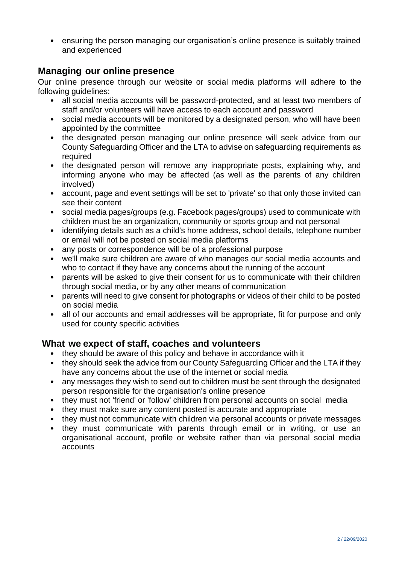• ensuring the person managing our organisation's online presence is suitably trained and experienced

## **Managing our online presence**

Our online presence through our website or social media platforms will adhere to the following guidelines:

- all social media accounts will be password-protected, and at least two members of staff and/or volunteers will have access to each account and password
- social media accounts will be monitored by a designated person, who will have been appointed by the committee
- the designated person managing our online presence will seek advice from our County Safeguarding Officer and the LTA to advise on safeguarding requirements as required
- the designated person will remove any inappropriate posts, explaining why, and informing anyone who may be affected (as well as the parents of any children involved)
- account, page and event settings will be set to 'private' so that only those invited can see their content
- social media pages/groups (e.g. Facebook pages/groups) used to communicate with children must be an organization, community or sports group and not personal
- identifying details such as a child's home address, school details, telephone number or email will not be posted on social media platforms
- any posts or correspondence will be of a professional purpose
- we'll make sure children are aware of who manages our social media accounts and who to contact if they have any concerns about the running of the account
- parents will be asked to give their consent for us to communicate with their children through social media, or by any other means of communication
- parents will need to give consent for photographs or videos of their child to be posted on social media
- all of our accounts and email addresses will be appropriate, fit for purpose and only used for county specific activities

# **What we expect of staff, coaches and volunteers**

- they should be aware of this policy and behave in accordance with it
- they should seek the advice from our County Safeguarding Officer and the LTA if they have any concerns about the use of the internet or social media
- any messages they wish to send out to children must be sent through the designated person responsible for the organisation's online presence
- they must not 'friend' or 'follow' children from personal accounts on social media
- they must make sure any content posted is accurate and appropriate
- they must not communicate with children via personal accounts or private messages
- they must communicate with parents through email or in writing, or use an organisational account, profile or website rather than via personal social media accounts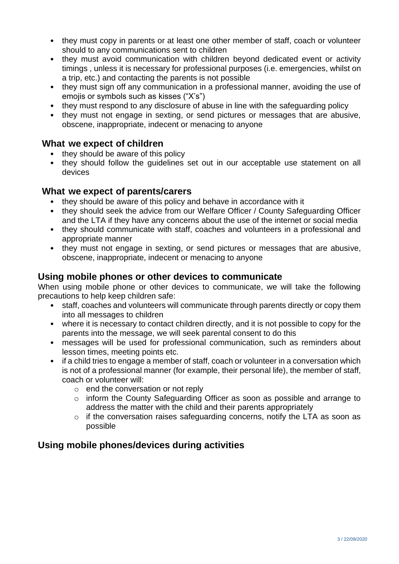- they must copy in parents or at least one other member of staff, coach or volunteer should to any communications sent to children
- they must avoid communication with children beyond dedicated event or activity timings , unless it is necessary for professional purposes (i.e. emergencies, whilst on a trip, etc.) and contacting the parents is not possible
- they must sign off any communication in a professional manner, avoiding the use of emojis or symbols such as kisses ("X's")
- they must respond to any disclosure of abuse in line with the safeguarding policy
- they must not engage in sexting, or send pictures or messages that are abusive, obscene, inappropriate, indecent or menacing to anyone

### **What we expect of children**

- they should be aware of this policy
- they should follow the guidelines set out in our acceptable use statement on all devices

#### **What we expect of parents/carers**

- they should be aware of this policy and behave in accordance with it
- they should seek the advice from our Welfare Officer / County Safeguarding Officer and the LTA if they have any concerns about the use of the internet or social media
- they should communicate with staff, coaches and volunteers in a professional and appropriate manner
- they must not engage in sexting, or send pictures or messages that are abusive, obscene, inappropriate, indecent or menacing to anyone

### **Using mobile phones or other devices to communicate**

When using mobile phone or other devices to communicate, we will take the following precautions to help keep children safe:

- staff, coaches and volunteers will communicate through parents directly or copy them into all messages to children
- where it is necessary to contact children directly, and it is not possible to copy for the parents into the message, we will seek parental consent to do this
- messages will be used for professional communication, such as reminders about lesson times, meeting points etc.
- if a child tries to engage a member of staff, coach or volunteer in a conversation which is not of a professional manner (for example, their personal life), the member of staff, coach or volunteer will:
	- $\circ$  end the conversation or not reply
	- o inform the County Safeguarding Officer as soon as possible and arrange to address the matter with the child and their parents appropriately
	- o if the conversation raises safeguarding concerns, notify the LTA as soon as possible

# **Using mobile phones/devices during activities**